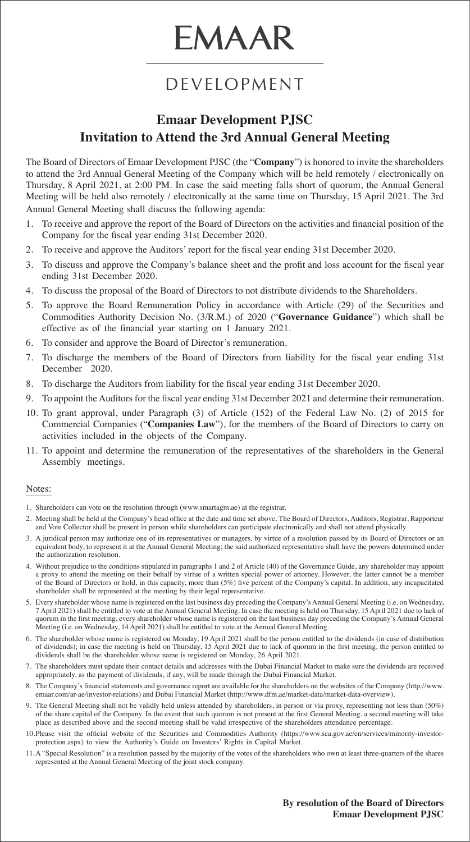# **EMAAR**

#### DEVELOPMENT

#### **Emaar Development PJSC Invitation to Attend the 3rd Annual General Meeting**

The Board of Directors of Emaar Development PJSC (the "**Company**") is honored to invite the shareholders to attend the 3rd Annual General Meeting of the Company which will be held remotely / electronically on Thursday, 8 April 2021, at 2:00 PM. In case the said meeting falls short of quorum, the Annual General Meeting will be held also remotely / electronically at the same time on Thursday, 15 April 2021. The 3rd Annual General Meeting shall discuss the following agenda:

- 1. To receive and approve the report of the Board of Directors on the activities and financial position of the Company for the fiscal year ending 31st December 2020.
- 2. To receive and approve the Auditors' report for the fiscal year ending 31st December 2020.
- 3. To discuss and approve the Company's balance sheet and the profit and loss account for the fiscal year ending 31st December 2020.
- 4. To discuss the proposal of the Board of Directors to not distribute dividends to the Shareholders.
- 5. To approve the Board Remuneration Policy in accordance with Article (29) of the Securities and Commodities Authority Decision No. (3/R.M.) of 2020 ("**Governance Guidance**") which shall be effective as of the financial year starting on 1 January 2021.
- 6. To consider and approve the Board of Director's remuneration.
- 7. To discharge the members of the Board of Directors from liability for the fiscal year ending 31st December 2020.
- 8. To discharge the Auditors from liability for the fiscal year ending 31st December 2020.
- 9. To appoint the Auditors for the fiscal year ending 31st December 2021 and determine their remuneration.
- 10. To grant approval, under Paragraph (3) of Article (152) of the Federal Law No. (2) of 2015 for Commercial Companies ("**Companies Law**"), for the members of the Board of Directors to carry on activities included in the objects of the Company.
- 11. To appoint and determine the remuneration of the representatives of the shareholders in the General Assembly meetings.

#### Notes:

- 1. Shareholders can vote on the resolution through (www.smartagm.ae) at the registrar.
- 2. Meeting shall be held at the Company's head office at the date and time set above. The Board of Directors, Auditors, Registrar, Rapporteur and Vote Collector shall be present in person while shareholders can participate electronically and shall not attend physically.
- 3. A juridical person may authorize one of its representatives or managers, by virtue of a resolution passed by its Board of Directors or an equivalent body, to represent it at the Annual General Meeting; the said authorized representative shall have the powers determined under the authorization resolution.
- 4. Without prejudice to the conditions stipulated in paragraphs 1 and 2 of Article (40) of the Governance Guide, any shareholder may appoint a proxy to attend the meeting on their behalf by virtue of a written special power of attorney. However, the latter cannot be a member of the Board of Directors or hold, in this capacity, more than (5%) five percent of the Company's capital. In addition, any incapacitated shareholder shall be represented at the meeting by their legal representative.
- 5. Every shareholder whose name is registered on the last business day preceding the Company's Annual General Meeting (i.e. on Wednesday, 7 April 2021) shall be entitled to vote at the Annual General Meeting. In case the meeting is held on Thursday, 15 April 2021 due to lack of quorum in the first meeting, every shareholder whose name is registered on the last business day preceding the Company's Annual General Meeting (i.e. on Wednesday, 14 April 2021) shall be entitled to vote at the Annual General Meeting.
- 6. The shareholder whose name is registered on Monday, 19 April 2021 shall be the person entitled to the dividends (in case of distribution of dividends); in case the meeting is held on Thursday, 15 April 2021 due to lack of quorum in the first meeting, the person entitled to dividends shall be the shareholder whose name is registered on Monday, 26 April 2021.
- 7. The shareholders must update their contact details and addresses with the Dubai Financial Market to make sure the dividends are received appropriately, as the payment of dividends, if any, will be made through the Dubai Financial Market.
- 8. The Company's financial statements and governance report are available for the shareholders on the websites of the Company (http://www. emaar.com/ar-ae/investor-relations) and Dubai Financial Market (http://www.dfm.ae/market-data/market-data-overview).
- 9. The General Meeting shall not be validly held unless attended by shareholders, in person or via proxy, representing not less than (50%) of the share capital of the Company. In the event that such quorum is not present at the first General Meeting, a second meeting will take place as described above and the second meeting shall be valid irrespective of the shareholders attendance percentage.
- 10. Please visit the official website of the Securities and Commodities Authority (https://www.sca.gov.ae/en/services/minority-investor-<br>protection.aspx) to view the Authority's Guide on Investors' Rights in Capital Market
- 11.A "Special Resolution" is a resolution passed by the majority of the votes of the shareholders who own at least three-quarters of the shares represented at the Annual General Meeting of the joint stock company.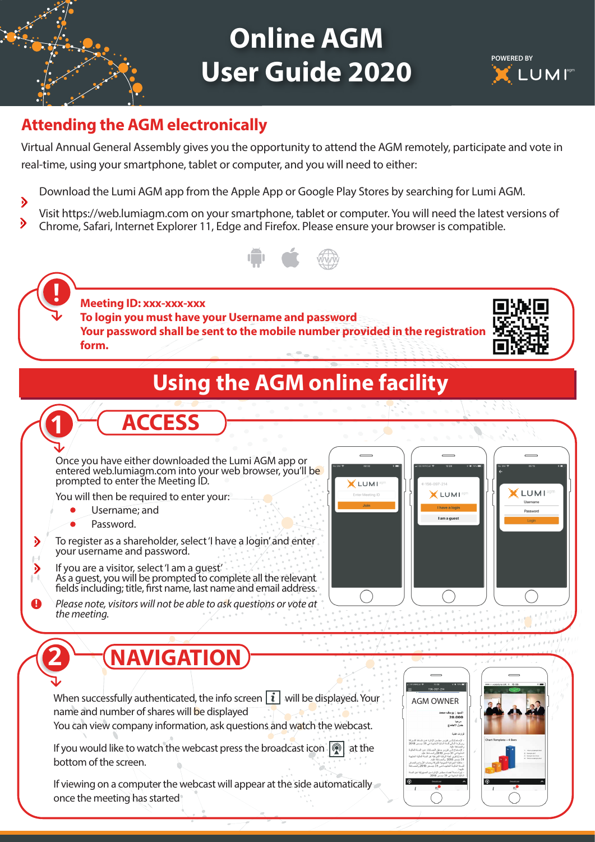## **Online AGM User Guide 2020**



#### **Attending the AGM electronically**

Virtual Annual General Assembly gives you the opportunity to attend the AGM remotely, participate and vote in real-time, using your smartphone, tablet or computer, and you will need to either:

- Download the Lumi AGM app from the Apple App or Google Play Stores by searching for Lumi AGM.
- Visit https://web.lumiagm.com on your smartphone, tablet or computer. You will need the latest versions of Chrome, Safari, Internet Explorer 11, Edge and Firefox. Please ensure your browser is compatible.



**Meeting ID: xxx-xxx-xxx To login you must have your Username and password Your password shall be sent to the mobile number provided in the registration form.**



#### **Using the AGM online facility**



- Username; and
	- Password.

**!**

**!**

**!**

D

D

**!**

**2**

To register as a shareholder, select 'I have a login' and enter your username and password.

**ACCESS**

- If you are a visitor, select 'I am a guest' As a guest, you will be prompted to complete all the relevant fields including; title, first name, last name and email address.
- *Please note, visitors will not be able to ask questions or vote at the meeting.*



### **NAVIGATION**

When successfully authenticated, the info screen  $\lceil i \rceil$  will be displayed. Your name and number of shares will be displayed

You can view company information, ask questions and watch the webcast.

If you would like to watch the webcast press the broadcast icon  $\binom{2}{1}$  at the bottom of the screen.

If viewing on a computer the webcast will appear at the side automatically once the meeting has started



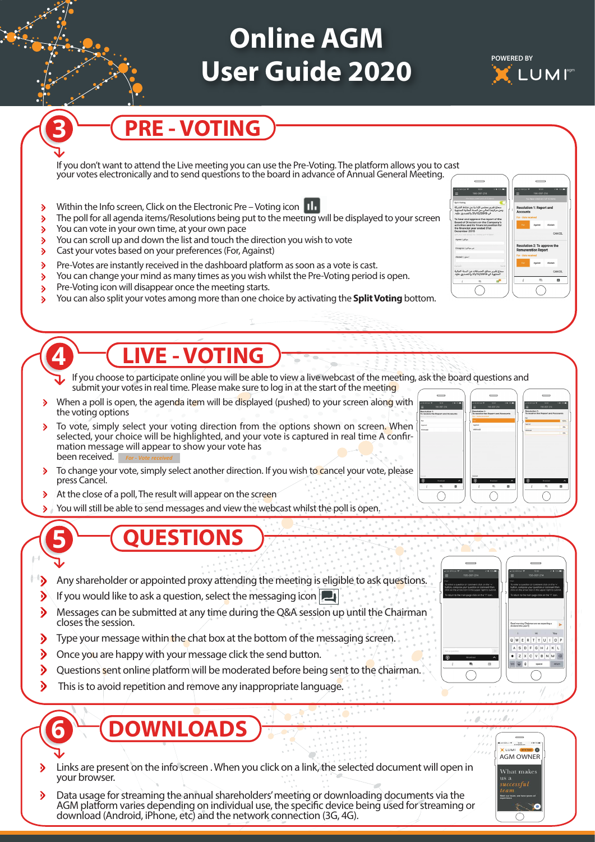# **Online AGM User Guide 2020**



ع تقرير مدقق الحسابات عن الد<br>امنتهية في 11/12/2019 والتح

## **PRE - VOTING**

If you don't want to attend the Live meeting you can use the Pre-Voting. The platform allows you to cast your votes electronically and to send questions to the board in advance of Annual General Meeting.

- Within the Info screen, Click on the Electronic Pre Voting icon  $\mathcal{P}$
- The poll for all agenda items/Resolutions being put to the meeting will be displayed to your screen  $\rightarrow$
- You can vote in your own time, at your own pace  $\mathcal{D}$

**3!**

**5!**

**4!**

**6!**

- You can scroll up and down the list and touch the direction you wish to vote ১
- Cast your votes based on your preferences (For, Against)  $\rightarrow$
- Pre-Votes are instantly received in the dashboard platform as soon as a vote is cast.  $\rightarrow$
- You can change your mind as many times as you wish whilst the Pre-Voting period is open.  $\lambda$
- Pre-Voting icon will disappear once the meeting starts.  $\mathbf{b}$
- You can also split your votes among more than one choice by activating the **Split Voting** bottom. ъ

#### **LIVE - VOTING**

If you choose to participate online you will be able to view a live webcast of the meeting, ask the board questions and submit your votes in real time. Please make sure to log in at the start of the meeting

- When a poll is open, the agenda item will be displayed (pushed) to your screen along with  $\lambda$ the voting options
- To vote, simply select your voting direction from the options shown on screen. When  $\ddot{\phantom{1}}$ selected, your choice will be highlighted, and your vote is captured in real time A confirmation message will appear to show your vote has been received. *For - Vote received*
- To change your vote, simply select another direction. If you wish to cancel your vote, please press Cancel.
- ð At the close of a poll, The result will appear on the screen
- You will still be able to send messages and view the webcast whilst the poll is open. ð

#### **QUESTIONS**

- $\rightarrow$ Any shareholder or appointed proxy attending the meeting is eligible to ask questions.
- If you would like to ask a question, select the messaging icon D
- Messages can be submitted at any time during the Q&A session up until the Chairman D closes the session.
- Type your message within the chat box at the bottom of the messaging screen. D
- $\mathbf{\hat{v}}$ Once you are happy with your message click the send button.
- D Questions sent online platform will be moderated before being sent to the chairman.
- $\lambda$ This is to avoid repetition and remove any inappropriate language.

## **OWNLOADS**

- D Links are present on the info screen . When you click on a link, the selected document will open in your browser.
- D Data usage for streaming the annual shareholders' meeting or downloading documents via the AGM platform varies depending on individual use, the specific device being used for streaming or download (Android, iPhone, etc) and the network connection (3G, 4G).



 $1.1.1.1.1.1.1$ . and